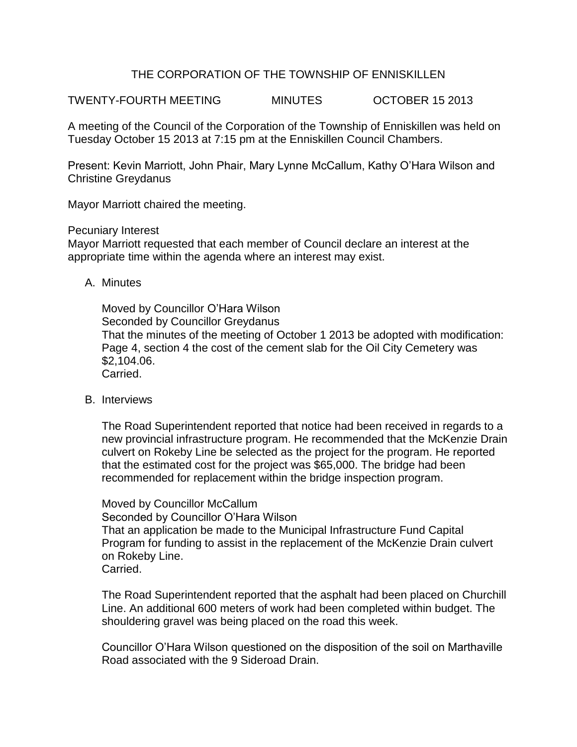## THE CORPORATION OF THE TOWNSHIP OF ENNISKILLEN

TWENTY-FOURTH MEETING MINUTES OCTOBER 15 2013

A meeting of the Council of the Corporation of the Township of Enniskillen was held on Tuesday October 15 2013 at 7:15 pm at the Enniskillen Council Chambers.

Present: Kevin Marriott, John Phair, Mary Lynne McCallum, Kathy O'Hara Wilson and Christine Greydanus

Mayor Marriott chaired the meeting.

Pecuniary Interest

Mayor Marriott requested that each member of Council declare an interest at the appropriate time within the agenda where an interest may exist.

A. Minutes

Moved by Councillor O'Hara Wilson Seconded by Councillor Greydanus That the minutes of the meeting of October 1 2013 be adopted with modification: Page 4, section 4 the cost of the cement slab for the Oil City Cemetery was \$2,104.06. Carried.

B. Interviews

The Road Superintendent reported that notice had been received in regards to a new provincial infrastructure program. He recommended that the McKenzie Drain culvert on Rokeby Line be selected as the project for the program. He reported that the estimated cost for the project was \$65,000. The bridge had been recommended for replacement within the bridge inspection program.

Moved by Councillor McCallum Seconded by Councillor O'Hara Wilson That an application be made to the Municipal Infrastructure Fund Capital Program for funding to assist in the replacement of the McKenzie Drain culvert on Rokeby Line. Carried.

The Road Superintendent reported that the asphalt had been placed on Churchill Line. An additional 600 meters of work had been completed within budget. The shouldering gravel was being placed on the road this week.

Councillor O'Hara Wilson questioned on the disposition of the soil on Marthaville Road associated with the 9 Sideroad Drain.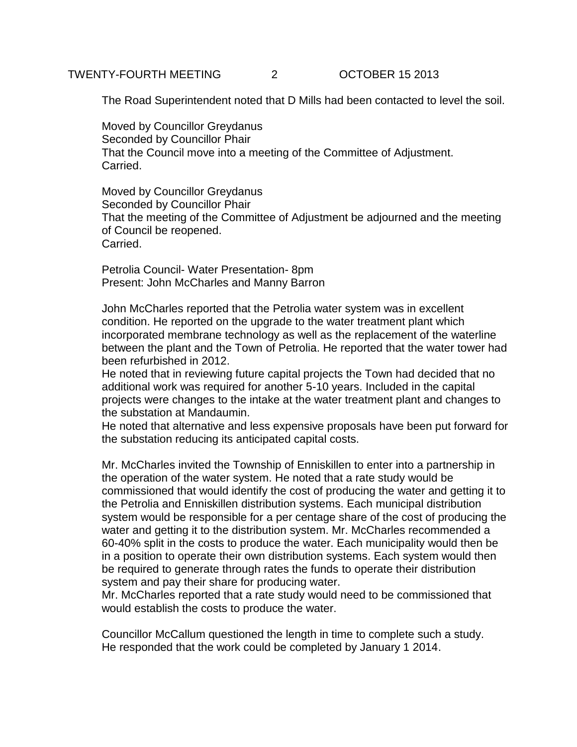The Road Superintendent noted that D Mills had been contacted to level the soil.

Moved by Councillor Greydanus Seconded by Councillor Phair That the Council move into a meeting of the Committee of Adjustment. Carried.

Moved by Councillor Greydanus Seconded by Councillor Phair That the meeting of the Committee of Adjustment be adjourned and the meeting of Council be reopened. Carried.

Petrolia Council- Water Presentation- 8pm Present: John McCharles and Manny Barron

John McCharles reported that the Petrolia water system was in excellent condition. He reported on the upgrade to the water treatment plant which incorporated membrane technology as well as the replacement of the waterline between the plant and the Town of Petrolia. He reported that the water tower had been refurbished in 2012.

He noted that in reviewing future capital projects the Town had decided that no additional work was required for another 5-10 years. Included in the capital projects were changes to the intake at the water treatment plant and changes to the substation at Mandaumin.

He noted that alternative and less expensive proposals have been put forward for the substation reducing its anticipated capital costs.

Mr. McCharles invited the Township of Enniskillen to enter into a partnership in the operation of the water system. He noted that a rate study would be commissioned that would identify the cost of producing the water and getting it to the Petrolia and Enniskillen distribution systems. Each municipal distribution system would be responsible for a per centage share of the cost of producing the water and getting it to the distribution system. Mr. McCharles recommended a 60-40% split in the costs to produce the water. Each municipality would then be in a position to operate their own distribution systems. Each system would then be required to generate through rates the funds to operate their distribution system and pay their share for producing water.

Mr. McCharles reported that a rate study would need to be commissioned that would establish the costs to produce the water.

Councillor McCallum questioned the length in time to complete such a study. He responded that the work could be completed by January 1 2014.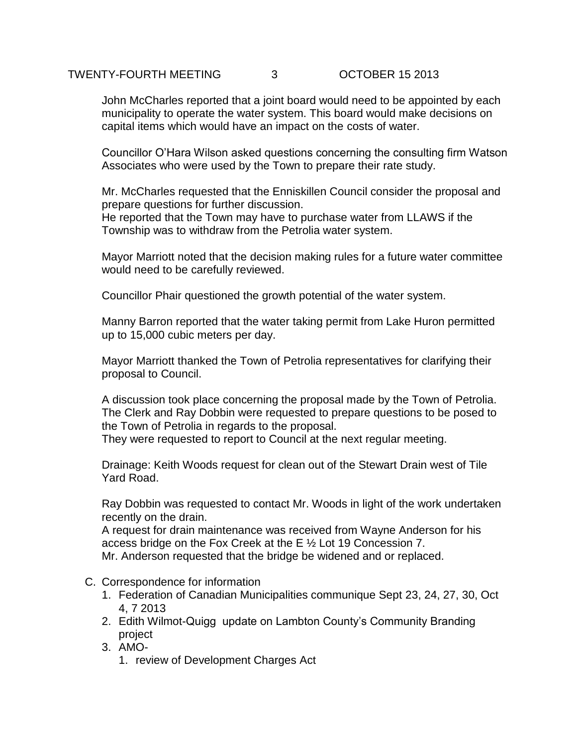## TWENTY-FOURTH MEETING 3 OCTOBER 15 2013

John McCharles reported that a joint board would need to be appointed by each municipality to operate the water system. This board would make decisions on capital items which would have an impact on the costs of water.

Councillor O'Hara Wilson asked questions concerning the consulting firm Watson Associates who were used by the Town to prepare their rate study.

Mr. McCharles requested that the Enniskillen Council consider the proposal and prepare questions for further discussion.

He reported that the Town may have to purchase water from LLAWS if the Township was to withdraw from the Petrolia water system.

Mayor Marriott noted that the decision making rules for a future water committee would need to be carefully reviewed.

Councillor Phair questioned the growth potential of the water system.

Manny Barron reported that the water taking permit from Lake Huron permitted up to 15,000 cubic meters per day.

Mayor Marriott thanked the Town of Petrolia representatives for clarifying their proposal to Council.

A discussion took place concerning the proposal made by the Town of Petrolia. The Clerk and Ray Dobbin were requested to prepare questions to be posed to the Town of Petrolia in regards to the proposal.

They were requested to report to Council at the next regular meeting.

Drainage: Keith Woods request for clean out of the Stewart Drain west of Tile Yard Road.

Ray Dobbin was requested to contact Mr. Woods in light of the work undertaken recently on the drain.

A request for drain maintenance was received from Wayne Anderson for his access bridge on the Fox Creek at the E ½ Lot 19 Concession 7.

Mr. Anderson requested that the bridge be widened and or replaced.

- C. Correspondence for information
	- 1. Federation of Canadian Municipalities communique Sept 23, 24, 27, 30, Oct 4, 7 2013
	- 2. Edith Wilmot-Quigg update on Lambton County's Community Branding project
	- 3. AMO-
		- 1. review of Development Charges Act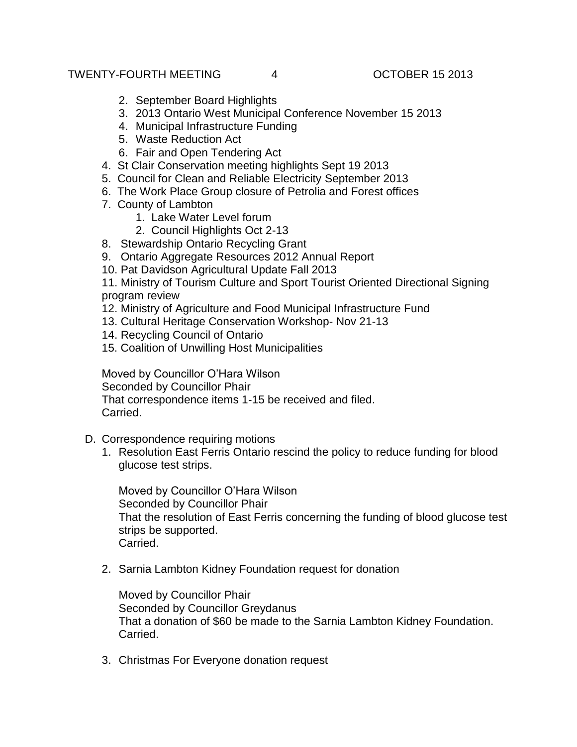- 2. September Board Highlights
- 3. 2013 Ontario West Municipal Conference November 15 2013
- 4. Municipal Infrastructure Funding
- 5. Waste Reduction Act
- 6. Fair and Open Tendering Act
- 4. St Clair Conservation meeting highlights Sept 19 2013
- 5. Council for Clean and Reliable Electricity September 2013
- 6. The Work Place Group closure of Petrolia and Forest offices
- 7. County of Lambton
	- 1. Lake Water Level forum
	- 2. Council Highlights Oct 2-13
- 8. Stewardship Ontario Recycling Grant
- 9. Ontario Aggregate Resources 2012 Annual Report
- 10. Pat Davidson Agricultural Update Fall 2013

11. Ministry of Tourism Culture and Sport Tourist Oriented Directional Signing program review

- 12. Ministry of Agriculture and Food Municipal Infrastructure Fund
- 13. Cultural Heritage Conservation Workshop- Nov 21-13
- 14. Recycling Council of Ontario
- 15. Coalition of Unwilling Host Municipalities

Moved by Councillor O'Hara Wilson Seconded by Councillor Phair That correspondence items 1-15 be received and filed. Carried.

- D. Correspondence requiring motions
	- 1. Resolution East Ferris Ontario rescind the policy to reduce funding for blood glucose test strips.

Moved by Councillor O'Hara Wilson Seconded by Councillor Phair That the resolution of East Ferris concerning the funding of blood glucose test strips be supported. Carried.

2. Sarnia Lambton Kidney Foundation request for donation

Moved by Councillor Phair Seconded by Councillor Greydanus That a donation of \$60 be made to the Sarnia Lambton Kidney Foundation. Carried.

3. Christmas For Everyone donation request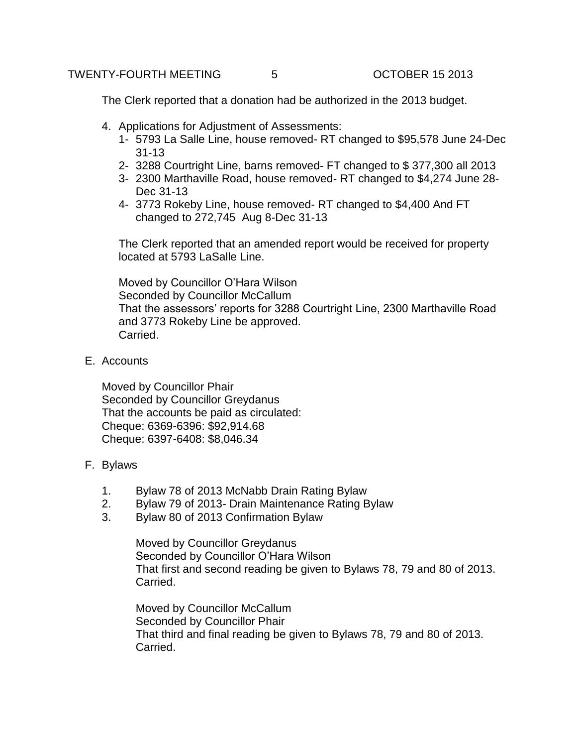The Clerk reported that a donation had be authorized in the 2013 budget.

- 4. Applications for Adjustment of Assessments:
	- 1- 5793 La Salle Line, house removed- RT changed to \$95,578 June 24-Dec 31-13
	- 2- 3288 Courtright Line, barns removed- FT changed to \$ 377,300 all 2013
	- 3- 2300 Marthaville Road, house removed- RT changed to \$4,274 June 28- Dec 31-13
	- 4- 3773 Rokeby Line, house removed- RT changed to \$4,400 And FT changed to 272,745 Aug 8-Dec 31-13

The Clerk reported that an amended report would be received for property located at 5793 LaSalle Line.

Moved by Councillor O'Hara Wilson Seconded by Councillor McCallum That the assessors' reports for 3288 Courtright Line, 2300 Marthaville Road and 3773 Rokeby Line be approved. Carried.

E. Accounts

Moved by Councillor Phair Seconded by Councillor Greydanus That the accounts be paid as circulated: Cheque: 6369-6396: \$92,914.68 Cheque: 6397-6408: \$8,046.34

- F. Bylaws
	- 1. Bylaw 78 of 2013 McNabb Drain Rating Bylaw
	- 2. Bylaw 79 of 2013- Drain Maintenance Rating Bylaw
	- 3. Bylaw 80 of 2013 Confirmation Bylaw

Moved by Councillor Greydanus Seconded by Councillor O'Hara Wilson That first and second reading be given to Bylaws 78, 79 and 80 of 2013. Carried.

Moved by Councillor McCallum Seconded by Councillor Phair That third and final reading be given to Bylaws 78, 79 and 80 of 2013. Carried.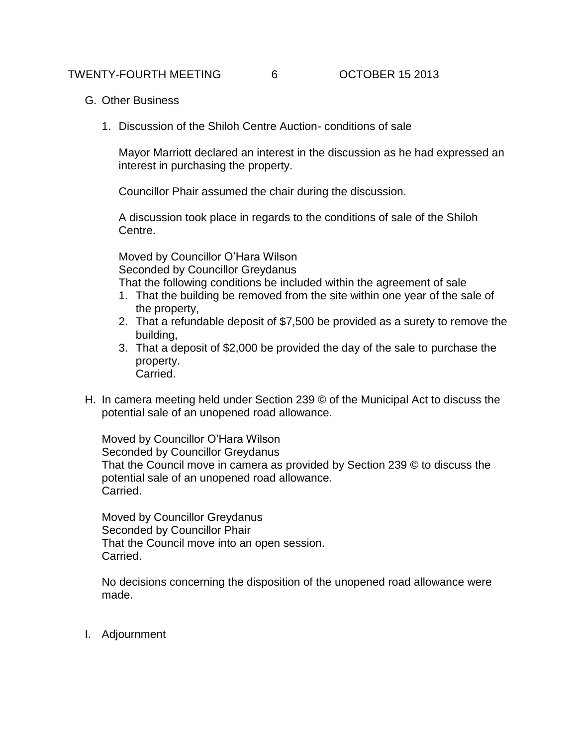- G. Other Business
	- 1. Discussion of the Shiloh Centre Auction- conditions of sale

Mayor Marriott declared an interest in the discussion as he had expressed an interest in purchasing the property.

Councillor Phair assumed the chair during the discussion.

A discussion took place in regards to the conditions of sale of the Shiloh Centre.

Moved by Councillor O'Hara Wilson Seconded by Councillor Greydanus That the following conditions be included within the agreement of sale

- 1. That the building be removed from the site within one year of the sale of the property,
- 2. That a refundable deposit of \$7,500 be provided as a surety to remove the building,
- 3. That a deposit of \$2,000 be provided the day of the sale to purchase the property. Carried.
- H. In camera meeting held under Section 239 © of the Municipal Act to discuss the potential sale of an unopened road allowance.

Moved by Councillor O'Hara Wilson Seconded by Councillor Greydanus That the Council move in camera as provided by Section 239 © to discuss the potential sale of an unopened road allowance. Carried.

Moved by Councillor Greydanus Seconded by Councillor Phair That the Council move into an open session. Carried.

No decisions concerning the disposition of the unopened road allowance were made.

I. Adjournment